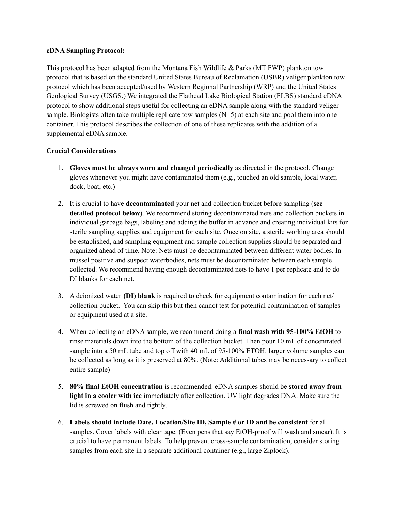### **eDNA Sampling Protocol:**

This protocol has been adapted from the Montana Fish Wildlife & Parks (MT FWP) plankton tow protocol that is based on the standard United States Bureau of Reclamation (USBR) veliger plankton tow protocol which has been accepted/used by Western Regional Partnership (WRP) and the United States Geological Survey (USGS.) We integrated the Flathead Lake Biological Station (FLBS) standard eDNA protocol to show additional steps useful for collecting an eDNA sample along with the standard veliger sample. Biologists often take multiple replicate tow samples (N=5) at each site and pool them into one container. This protocol describes the collection of one of these replicates with the addition of a supplemental eDNA sample.

# **Crucial Considerations**

- 1. **Gloves must be always worn and changed periodically** as directed in the protocol. Change gloves whenever you might have contaminated them (e.g., touched an old sample, local water, dock, boat, etc.)
- 2. It is crucial to have **decontaminated** your net and collection bucket before sampling (**see detailed protocol below**). We recommend storing decontaminated nets and collection buckets in individual garbage bags, labeling and adding the buffer in advance and creating individual kits for sterile sampling supplies and equipment for each site. Once on site, a sterile working area should be established, and sampling equipment and sample collection supplies should be separated and organized ahead of time. Note: Nets must be decontaminated between different water bodies. In mussel positive and suspect waterbodies, nets must be decontaminated between each sample collected. We recommend having enough decontaminated nets to have 1 per replicate and to do DI blanks for each net.
- 3. A deionized water **(DI) blank** is required to check for equipment contamination for each net/ collection bucket. You can skip this but then cannot test for potential contamination of samples or equipment used at a site.
- 4. When collecting an eDNA sample, we recommend doing a **final wash with 95-100% EtOH** to rinse materials down into the bottom of the collection bucket. Then pour 10 mL of concentrated sample into a 50 mL tube and top off with 40 mL of 95-100% ETOH. larger volume samples can be collected as long as it is preserved at 80%. (Note: Additional tubes may be necessary to collect entire sample)
- 5. **80% final EtOH concentration** is recommended. eDNA samples should be **stored away from light in a cooler with ice** immediately after collection. UV light degrades DNA. Make sure the lid is screwed on flush and tightly.
- 6. **Labels should include Date, Location/Site ID, Sample # or ID and be consistent** for all samples. Cover labels with clear tape. (Even pens that say EtOH-proof will wash and smear). It is crucial to have permanent labels. To help prevent cross-sample contamination, consider storing samples from each site in a separate additional container (e.g., large Ziplock).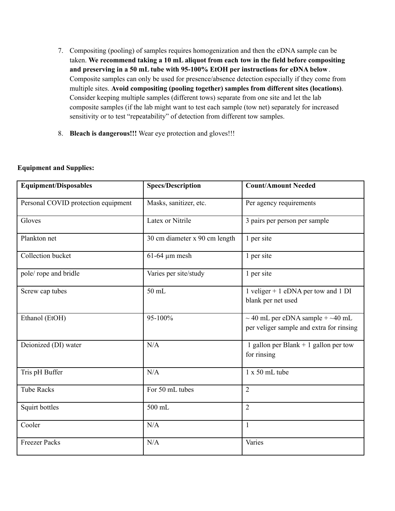- 7. Compositing (pooling) of samples requires homogenization and then the eDNA sample can be taken. **We recommend taking a 10 mL aliquot from each tow in the field before compositing and preserving in a 50 mL tube with 95-100% EtOH per instructions for eDNA below** . Composite samples can only be used for presence/absence detection especially if they come from multiple sites. **Avoid compositing (pooling together) samples from different sites (locations)**. Consider keeping multiple samples (different tows) separate from one site and let the lab composite samples (if the lab might want to test each sample (tow net) separately for increased sensitivity or to test "repeatability" of detection from different tow samples.
- 8. **Bleach is dangerous!!!** Wear eye protection and gloves!!!

## **Equipment and Supplies:**

| <b>Equipment/Disposables</b>        | <b>Specs/Description</b>      | <b>Count/Amount Needed</b>                                                              |
|-------------------------------------|-------------------------------|-----------------------------------------------------------------------------------------|
| Personal COVID protection equipment | Masks, sanitizer, etc.        | Per agency requirements                                                                 |
| Gloves                              | Latex or Nitrile              | 3 pairs per person per sample                                                           |
| Plankton net                        | 30 cm diameter x 90 cm length | 1 per site                                                                              |
| Collection bucket                   | $61-64 \mu m$ mesh            | 1 per site                                                                              |
| pole/rope and bridle                | Varies per site/study         | 1 per site                                                                              |
| Screw cap tubes                     | 50 mL                         | 1 veliger + 1 eDNA per tow and 1 DI<br>blank per net used                               |
| Ethanol (EtOH)                      | 95-100%                       | $\sim$ 40 mL per eDNA sample + $\sim$ 40 mL<br>per veliger sample and extra for rinsing |
| Deionized (DI) water                | N/A                           | 1 gallon per Blank $+$ 1 gallon per tow<br>for rinsing                                  |
| Tris pH Buffer                      | N/A                           | $1 \times 50$ mL tube                                                                   |
| <b>Tube Racks</b>                   | For 50 mL tubes               | $\overline{2}$                                                                          |
| Squirt bottles                      | 500 mL                        | $\overline{2}$                                                                          |
| Cooler                              | N/A                           | $\mathbf{1}$                                                                            |
| <b>Freezer Packs</b>                | N/A                           | Varies                                                                                  |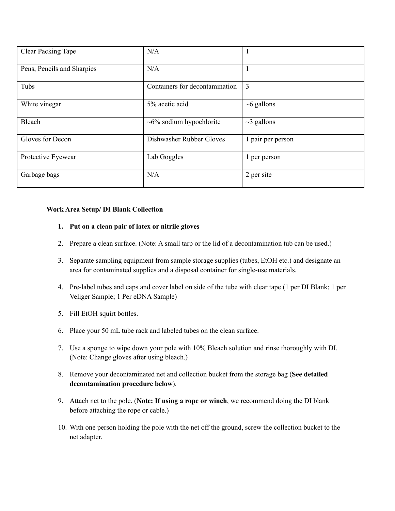| <b>Clear Packing Tape</b>  | N/A                            |                   |
|----------------------------|--------------------------------|-------------------|
| Pens, Pencils and Sharpies | N/A                            |                   |
| Tubs                       | Containers for decontamination | $\overline{3}$    |
| White vinegar              | 5% acetic acid                 | $~6$ gallons      |
| Bleach                     | $\sim 6\%$ sodium hypochlorite | $\sim$ 3 gallons  |
| Gloves for Decon           | Dishwasher Rubber Gloves       | 1 pair per person |
| Protective Eyewear         | Lab Goggles                    | 1 per person      |
| Garbage bags               | N/A                            | 2 per site        |

# **Work Area Setup/ DI Blank Collection**

## **1. Put on a clean pair of latex or nitrile gloves**

- 2. Prepare a clean surface. (Note: A small tarp or the lid of a decontamination tub can be used.)
- 3. Separate sampling equipment from sample storage supplies (tubes, EtOH etc.) and designate an area for contaminated supplies and a disposal container for single-use materials.
- 4. Pre-label tubes and caps and cover label on side of the tube with clear tape (1 per DI Blank; 1 per Veliger Sample; 1 Per eDNA Sample)
- 5. Fill EtOH squirt bottles.
- 6. Place your 50 mL tube rack and labeled tubes on the clean surface.
- 7. Use a sponge to wipe down your pole with 10% Bleach solution and rinse thoroughly with DI. (Note: Change gloves after using bleach.)
- 8. Remove your decontaminated net and collection bucket from the storage bag (**See detailed decontamination procedure below**).
- 9. Attach net to the pole. (**Note: If using a rope or winch**, we recommend doing the DI blank before attaching the rope or cable.)
- 10. With one person holding the pole with the net off the ground, screw the collection bucket to the net adapter.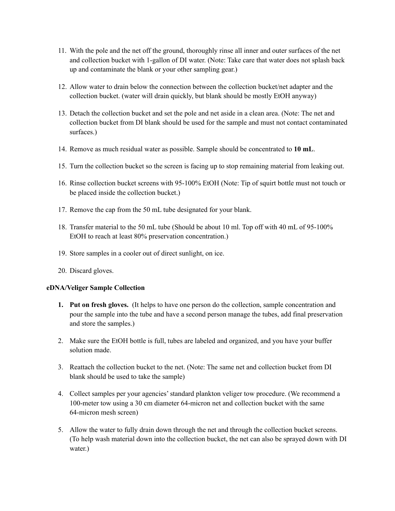- 11. With the pole and the net off the ground, thoroughly rinse all inner and outer surfaces of the net and collection bucket with 1-gallon of DI water. (Note: Take care that water does not splash back up and contaminate the blank or your other sampling gear.)
- 12. Allow water to drain below the connection between the collection bucket/net adapter and the collection bucket. (water will drain quickly, but blank should be mostly EtOH anyway)
- 13. Detach the collection bucket and set the pole and net aside in a clean area. (Note: The net and collection bucket from DI blank should be used for the sample and must not contact contaminated surfaces.)
- 14. Remove as much residual water as possible. Sample should be concentrated to **10 mL**.
- 15. Turn the collection bucket so the screen is facing up to stop remaining material from leaking out.
- 16. Rinse collection bucket screens with 95-100% EtOH (Note: Tip of squirt bottle must not touch or be placed inside the collection bucket.)
- 17. Remove the cap from the 50 mL tube designated for your blank.
- 18. Transfer material to the 50 mL tube (Should be about 10 ml. Top off with 40 mL of 95-100% EtOH to reach at least 80% preservation concentration.)
- 19. Store samples in a cooler out of direct sunlight, on ice.
- 20. Discard gloves.

### **eDNA/Veliger Sample Collection**

- **1. Put on fresh gloves.** (It helps to have one person do the collection, sample concentration and pour the sample into the tube and have a second person manage the tubes, add final preservation and store the samples.)
- 2. Make sure the EtOH bottle is full, tubes are labeled and organized, and you have your buffer solution made.
- 3. Reattach the collection bucket to the net. (Note: The same net and collection bucket from DI blank should be used to take the sample)
- 4. Collect samples per your agencies'standard plankton veliger tow procedure. (We recommend a 100-meter tow using a 30 cm diameter 64-micron net and collection bucket with the same 64-micron mesh screen)
- 5. Allow the water to fully drain down through the net and through the collection bucket screens. (To help wash material down into the collection bucket, the net can also be sprayed down with DI water.)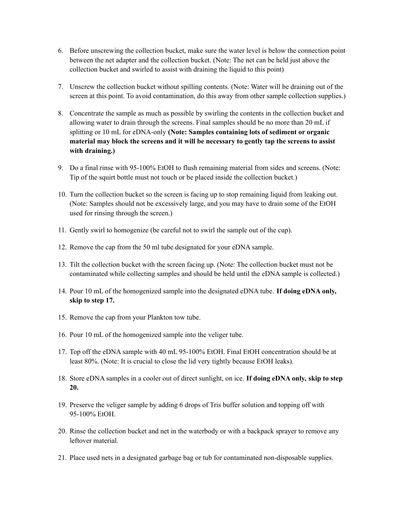- 6. Before unscrewing the collection bucket, make sure the water level is below the connection point between the net adapter and the collection bucket. (Note: The net can be held just above the collection bucket and swirled to assist with draining the liquid to this point)
- 7. Unscrew the collection bucket without spilling contents. (Note: Water will be draining out of the screen at this point. To avoid contamination, do this away from other sample collection supplies.)
- 8. Concentrate the sample as much as possible by swirling the contents in the collection bucket and allowing water to drain through the screens. Final samples should be no more than 20 mL if splitting or 10 mL for eDNA-only **(Note: Samples containing lots of sediment or organic material may block the screens and it will be necessary to gently tap the screens to assist with draining.)**
- 9. Do a final rinse with 95-100% EtOH to flush remaining material from sides and screens. (Note: Tip of the squirt bottle must not touch or be placed inside the collection bucket.)
- 10. Turn the collection bucket so the screen is facing up to stop remaining liquid from leaking out. (Note: Samples should not be excessively large, and you may have to drain some of the EtOH used for rinsing through the screen.)
- 11. Gently swirl to homogenize (be careful not to swirl the sample out of the cup).
- 12. Remove the cap from the 50 ml tube designated for your eDNA sample.
- 13. Tilt the collection bucket with the screen facing up. (Note: The collection bucket must not be contaminated while collecting samples and should be held until the eDNA sample is collected.)
- 14. Pour 10 mL of the homogenized sample into the designated eDNA tube. **If doing eDNA only, skip to step 17.**
- 15. Remove the cap from your Plankton tow tube.
- 16. Pour 10 mL of the homogenized sample into the veliger tube.
- 17. Top off the eDNA sample with 40 mL 95-100% EtOH. Final EtOH concentration should be at least 80%. (Note: It is crucial to close the lid very tightly because EtOH leaks).
- 18. Store eDNA samples in a cooler out of direct sunlight, on ice. **If doing eDNA only, skip to step 20.**
- 19. Preserve the veliger sample by adding 6 drops of Tris buffer solution and topping off with 95-100% EtOH.
- 20. Rinse the collection bucket and net in the waterbody or with a backpack sprayer to remove any leftover material.
- 21. Place used nets in a designated garbage bag or tub for contaminated non-disposable supplies.